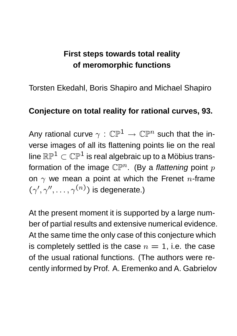## **First steps towards total reality of meromorphic functions**

Torsten Ekedahl, Boris Shapiro and Michael Shapiro

## **Conjecture on total reality for rational curves, 93.**

Any rational curve  $\gamma : \mathbb{CP}^1 \to \mathbb{CP}^n$  such that the inverse images of all its flattening points lie on the real line  $\mathbb{RP}^1 \subset \mathbb{CP}^1$  is real algebraic up to a Möbius transformation of the image  $\mathbb{CP}^n$ . (By a flattening point p on  $\gamma$  we mean a point at which the Frenet n-frame  $(\gamma', \gamma'', \ldots, \gamma^{(n)})$  is degenerate.)

At the present moment it is supported by a large number of partial results and extensive numerical evidence. At the same time the only case of this conjecture which is completely settled is the case  $n = 1$ , i.e. the case of the usual rational functions. (The authors were recently informed by Prof. A. Eremenko and A. Gabrielov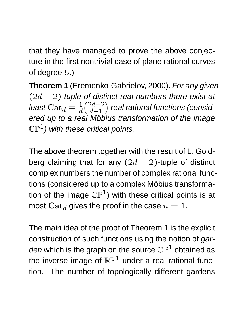that they have managed to prove the above conjecture in the first nontrivial case of plane rational curves of degree 5.)

**Theorem 1** (Eremenko-Gabrielov, 2000)**.** For any given  $(2d - 2)$ -tuple of distinct real numbers there exist at least  $\mathrm{Cat}_d = \frac{1}{d}$  $(2d-2)$  $d-1$  $\overline{ }$ real rational functions (considered up to a real Möbius transformation of the image  $\mathbb{CP}^1$ ) with these critical points.

The above theorem together with the result of L. Goldberg claiming that for any  $(2d - 2)$ -tuple of distinct complex numbers the number of complex rational functions (considered up to a complex Möbius transformation of the image  $\mathbb{CP}^1$ ) with these critical points is at most  $\text{Cat}_d$  gives the proof in the case  $n = 1$ .

The main idea of the proof of Theorem 1 is the explicit construction of such functions using the notion of garden which is the graph on the source  $\mathbb{CP}^1$  obtained as the inverse image of  $\mathbb{RP}^1$  under a real rational function. The number of topologically different gardens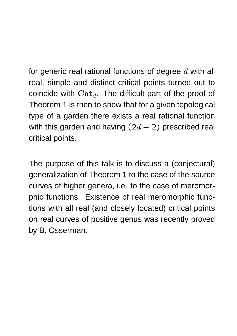for generic real rational functions of degree  $d$  with all real, simple and distinct critical points turned out to coincide with  $\mathbf{Cat}_d$ . The difficult part of the proof of Theorem 1 is then to show that for a given topological type of a garden there exists a real rational function with this garden and having  $(2d - 2)$  prescribed real critical points.

The purpose of this talk is to discuss a (conjectural) generalization of Theorem 1 to the case of the source curves of higher genera, i.e. to the case of meromorphic functions. Existence of real meromorphic functions with all real (and closely located) critical points on real curves of positive genus was recently proved by B. Osserman.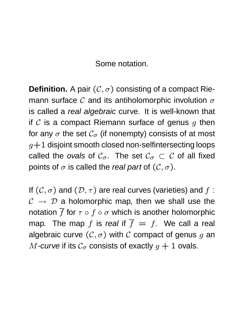Some notation.

**Definition.** A pair  $(C, \sigma)$  consisting of a compact Riemann surface C and its antiholomorphic involution  $\sigma$ is called a real algebraic curve. It is well-known that if C is a compact Riemann surface of genus  $q$  then for any  $\sigma$  the set  $\mathcal{C}_{\sigma}$  (if nonempty) consists of at most  $g+1$  disjoint smooth closed non-selfintersecting loops called the ovals of  $C_{\sigma}$ . The set  $C_{\sigma} \subset C$  of all fixed points of  $\sigma$  is called the real part of  $(C, \sigma)$ .

If  $(C, \sigma)$  and  $(D, \tau)$  are real curves (varieties) and f:  $C \rightarrow D$  a holomorphic map, then we shall use the notation  $\overline{f}$  for  $\tau \circ f \circ \sigma$  which is another holomorphic map. The map f is real if  $\overline{f} = f$ . We call a real algebraic curve  $(C, \sigma)$  with C compact of genus g an M-curve if its  $\mathcal{C}_{\sigma}$  consists of exactly  $q+1$  ovals.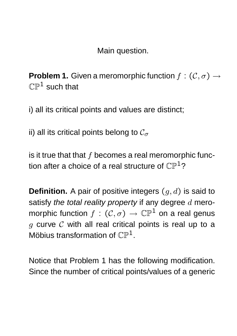Main question.

**Problem 1.** Given a meromorphic function  $f: (\mathcal{C}, \sigma) \rightarrow$  $\mathbb{CP}^1$  such that

i) all its critical points and values are distinct;

ii) all its critical points belong to  $\mathcal{C}_{\sigma}$ 

is it true that that  $f$  becomes a real meromorphic function after a choice of a real structure of  $\mathbb{CP}^1$ ?

**Definition.** A pair of positive integers  $(q, d)$  is said to satisfy the total reality property if any degree  $d$  meromorphic function  $f : (\mathcal{C}, \sigma) \to \mathbb{CP}^1$  on a real genus  $q$  curve  $C$  with all real critical points is real up to a Möbius transformation of  $\mathbb{CP}^1$ .

Notice that Problem 1 has the following modification. Since the number of critical points/values of a generic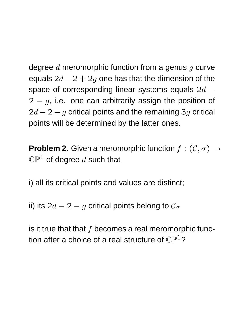degree  $d$  meromorphic function from a genus  $q$  curve equals  $2d - 2 + 2g$  one has that the dimension of the space of corresponding linear systems equals  $2d 2 - g$ , i.e. one can arbitrarily assign the position of  $2d - 2 - g$  critical points and the remaining 3g critical points will be determined by the latter ones.

**Problem 2.** Given a meromorphic function  $f: (\mathcal{C}, \sigma) \rightarrow$  $\mathbb{CP}^1$  of degree d such that

i) all its critical points and values are distinct;

ii) its  $2d - 2 - g$  critical points belong to  $\mathcal{C}_{\sigma}$ 

is it true that that  $f$  becomes a real meromorphic function after a choice of a real structure of  $\mathbb{CP}^1$ ?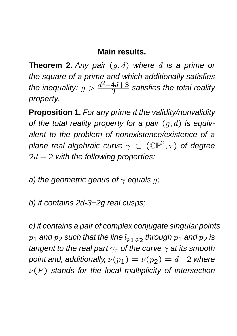## **Main results.**

**Theorem 2.** Any pair  $(g, d)$  where d is a prime or the square of a prime and which additionally satisfies the inequality:  $g > \frac{d^2-4d+3}{3}$  $\frac{4d+3}{3}$  satisfies the total reality property.

**Proposition 1.** For any prime d the validity/nonvalidity of the total reality property for a pair  $(q, d)$  is equivalent to the problem of nonexistence/existence of a plane real algebraic curve  $\gamma \subset (\mathbb{CP}^2, \tau)$  of degree  $2d - 2$  with the following properties:

a) the geometric genus of  $\gamma$  equals q;

b) it contains 2d-3+2g real cusps;

c) it contains a pair of complex conjugate singular points  $p_{\bf 1}$  and  $p_{\bf 2}$  such that the line  $l_{p_{\bf 1},p_{\bf 2}}$  through  $p_{\bf 1}$  and  $p_{\bf 2}$  is tangent to the real part  $\gamma_{\tau}$  of the curve  $\gamma$  at its smooth point and, additionally,  $\nu(p_1) = \nu(p_2) = d-2$  where  $\nu(P)$  stands for the local multiplicity of intersection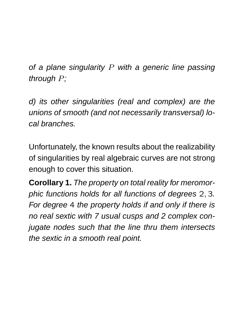of a plane singularity  $P$  with a generic line passing through P;

d) its other singularities (real and complex) are the unions of smooth (and not necessarily transversal) local branches.

Unfortunately, the known results about the realizability of singularities by real algebraic curves are not strong enough to cover this situation.

**Corollary 1.** The property on total reality for meromorphic functions holds for all functions of degrees 2, 3. For degree 4 the property holds if and only if there is no real sextic with 7 usual cusps and 2 complex conjugate nodes such that the line thru them intersects the sextic in a smooth real point.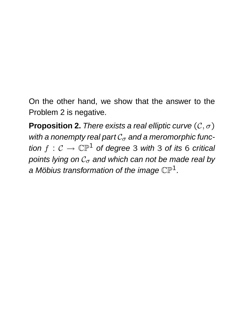On the other hand, we show that the answer to the Problem 2 is negative.

**Proposition 2.** There exists a real elliptic curve  $(C, \sigma)$ with a nonempty real part  $C_{\sigma}$  and a meromorphic function  $f: \mathcal{C} \to \mathbb{CP}^1$  of degree 3 with 3 of its 6 critical points lying on  $C_{\sigma}$  and which can not be made real by a Möbius transformation of the image  $\mathbb{CP}^1$ .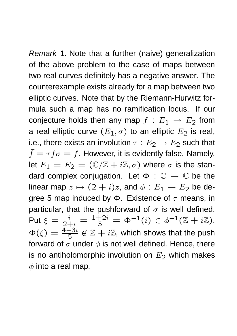Remark 1. Note that a further (naive) generalization of the above problem to the case of maps between two real curves definitely has a negative answer. The counterexample exists already for a map between two elliptic curves. Note that by the Riemann-Hurwitz formula such a map has no ramification locus. If our conjecture holds then any map  $f : E_1 \rightarrow E_2$  from a real elliptic curve  $(E_1, \sigma)$  to an elliptic  $E_2$  is real, i.e., there exists an involution  $\tau : E_2 \rightarrow E_2$  such that  $\bar{f} = \tau f \sigma = f$ . However, it is evidently false. Namely, let  $E_1 = E_2 = (\mathbb{C}/\mathbb{Z} + i\mathbb{Z}, \sigma)$  where  $\sigma$  is the standard complex conjugation. Let  $\Phi : \mathbb{C} \to \mathbb{C}$  be the linear map  $z \mapsto (2 + i)z$ , and  $\phi : E_1 \rightarrow E_2$  be degree 5 map induced by  $\Phi$ . Existence of  $\tau$  means, in particular, that the pushforward of  $\sigma$  is well defined. Put  $\xi = \frac{i}{2+i} = \frac{1+2i}{5} = \Phi^{-1}(i) \in \phi^{-1}(\mathbb{Z} + i\mathbb{Z}).$  $\Phi(\bar{\xi}) = \frac{4-3i}{5} \notin \mathbb{Z} + i\mathbb{Z}$ , which shows that the push forward of  $\sigma$  under  $\phi$  is not well defined. Hence, there is no antiholomorphic involution on  $E_2$  which makes  $\phi$  into a real map.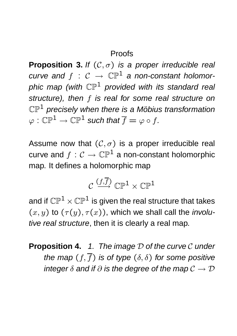## Proofs

**Proposition 3.** If  $(C, \sigma)$  is a proper irreducible real curve and  $f : C \rightarrow \mathbb{CP}^1$  a non-constant holomorphic map (with  $\mathbb{CP}^1$  provided with its standard real structure), then f is real for some real structure on  $\mathbb{CP}^1$  precisely when there is a Möbius transformation  $\varphi : \mathbb{CP}^1 \to \mathbb{CP}^1$  such that  $\overline{f} = \varphi \circ f$ .

Assume now that  $(C, \sigma)$  is a proper irreducible real curve and  $f: \mathcal{C} \to \mathbb{CP}^1$  a non-constant holomorphic map. It defines a holomorphic map

$$
\mathcal{C} \xrightarrow{(f,\overline{f})} \mathbb{CP}^1 \times \mathbb{CP}^1
$$

and if  $\mathbb{CP}^1 \times \mathbb{CP}^1$  is given the real structure that takes  $(x, y)$  to  $(\tau(y), \tau(x))$ , which we shall call the *involu*tive real structure, then it is clearly a real map.

**Proposition 4.** 1. The image D of the curve C under the map  $(f, \overline{f})$  is of type  $(\delta, \delta)$  for some positive integer  $\delta$  and if  $\partial$  is the degree of the map  $\mathcal{C} \to \mathcal{D}$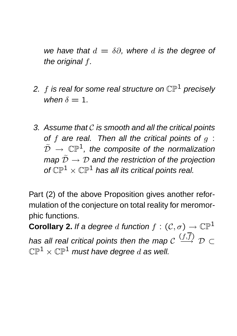we have that  $d = \delta\partial$ , where d is the degree of the original f.

- 2. f is real for some real structure on  $\mathbb{CP}^1$  precisely when  $\delta = 1$ .
- 3. Assume that  $C$  is smooth and all the critical points of f are real. Then all the critical points of  $q$ :  $\tilde{\mathcal{D}} \ \rightarrow \ \mathbb{CP}^1$ , the composite of the normalization map  $\widetilde{\mathcal{D}} \to \mathcal{D}$  and the restriction of the projection of  $\mathbb{CP}^1 \times \mathbb{CP}^1$  has all its critical points real.

Part (2) of the above Proposition gives another reformulation of the conjecture on total reality for meromorphic functions.

**Corollary 2.** If a degree d function  $f : (\mathcal{C}, \sigma) \to \mathbb{CP}^1$ has all real critical points then the map  $C$  $(f,f)$  $\stackrel{\cup}{\longrightarrow}$  D  $\subset$  $\mathbb{CP}^1 \times \mathbb{CP}^1$  must have degree d as well.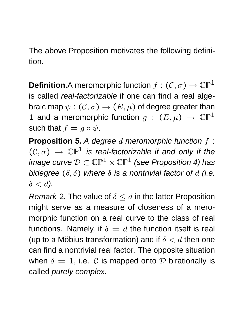The above Proposition motivates the following definition.

**Definition.**A meromorphic function  $f: (\mathcal{C}, \sigma) \to \mathbb{CP}^1$ is called real-factorizable if one can find a real algebraic map  $\psi: (\mathcal{C}, \sigma) \to (E, \mu)$  of degree greater than 1 and a meromorphic function  $g$  :  $(E, \mu)$   $\rightarrow$   $\mathbb{CP}^1$ such that  $f = g \circ \psi$ .

**Proposition 5.** A degree d meromorphic function f:  $(C,\sigma) \rightarrow \mathbb{CP}^1$  is real-factorizable if and only if the image curve  $\mathcal{D} \subset \mathbb{CP}^1 \times \mathbb{CP}^1$  (see Proposition 4) has bidegree  $(\delta, \delta)$  where  $\delta$  is a nontrivial factor of d (i.e.  $\delta < d$ ).

Remark 2. The value of  $\delta \leq d$  in the latter Proposition might serve as a measure of closeness of a meromorphic function on a real curve to the class of real functions. Namely, if  $\delta = d$  the function itself is real (up to a Möbius transformation) and if  $\delta < d$  then one can find a nontrivial real factor. The opposite situation when  $\delta = 1$ , i.e. C is mapped onto D birationally is called purely complex.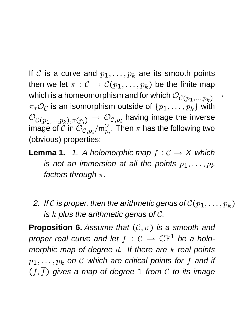If C is a curve and  $p_1, \ldots, p_k$  are its smooth points then we let  $\pi : \mathcal{C} \to \mathcal{C}(p_1, \ldots, p_k)$  be the finite map which is a homeomorphism and for which  $\mathcal{O}_{\mathcal{C}(p_1,...,p_k)} \to$  $\pi_*\mathcal{O}_{\mathcal{C}}$  is an isomorphism outside of  $\{p_1,\ldots,p_k\}$  with  $\mathcal{O}_{\mathcal{C}(p_1,...,p_k),\pi(p_i)} \to \mathcal{O}_{\mathcal{C},p_i}$  having image the inverse image of  $\mathcal{\breve{C}}$  in  $\mathcal{\breve{O}}_{\mathcal{C},p_i}^{\mathcal{C}}/\mathfrak{m}_{p_i}^2.$  Then  $\pi$  has the following two (obvious) properties:

**Lemma 1.** 1. A holomorphic map  $f: \mathcal{C} \rightarrow X$  which is not an immersion at all the points  $p_1, \ldots, p_k$ factors through  $\pi$ .

2. If C is proper, then the arithmetic genus of  $\mathcal{C}(p_1, \ldots, p_k)$ is  $k$  plus the arithmetic genus of  $\mathcal{C}$ .

**Proposition 6.** Assume that  $(C, \sigma)$  is a smooth and proper real curve and let  $f : C \rightarrow \mathbb{CP}^1$  be a holomorphic map of degree  $d$ . If there are  $k$  real points  $p_1, \ldots, p_k$  on C which are critical points for f and if  $(f, \overline{f})$  gives a map of degree 1 from C to its image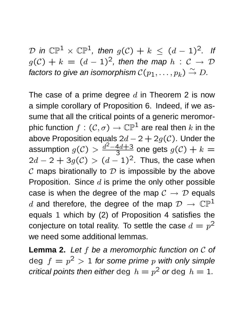D in  $\mathbb{CP}^1 \times \mathbb{CP}^1$ , then  $g(\mathcal{C}) + k \leq (d-1)^2$ . If  $g(\mathcal{C}) + k = (d-1)^2$ , then the map  $h : \mathcal{C} \to \mathcal{D}$ factors to give an isomorphism  $\mathcal{C}(p_1,\ldots,p_k)\stackrel{\sim}{\to} D$ .

The case of a prime degree  $d$  in Theorem 2 is now a simple corollary of Proposition 6. Indeed, if we assume that all the critical points of a generic meromorphic function  $f: (\mathcal{C}, \sigma) \to \mathbb{CP}^1$  are real then k in the above Proposition equals  $2d - 2 + 2g(\mathcal{C})$ . Under the assumption  $g(\mathcal{C}) > \frac{d^2-4d+3}{3}$  $\frac{4d+3}{3}$  one gets  $g(\mathcal{C})+k=$  $2d - 2 + 3g(\mathcal{C}) > (d-1)^2$ . Thus, the case when  $\mathcal C$  maps birationally to  $\mathcal D$  is impossible by the above Proposition. Since  $d$  is prime the only other possible case is when the degree of the map  $C \rightarrow \mathcal{D}$  equals d and therefore, the degree of the map  $\mathcal{D} \rightarrow \mathbb{CP}^1$ equals 1 which by (2) of Proposition 4 satisfies the conjecture on total reality. To settle the case  $d = p^2$ we need some additional lemmas.

Lemma 2. Let f be a meromorphic function on C of deg  $f = p^2 > 1$  for some prime  $p$  with only simple critical points then either deg  $h = p^2$  or deg  $h = 1$ .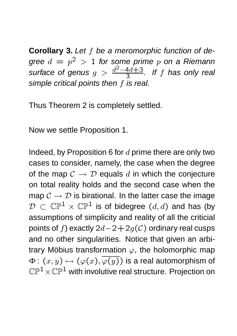**Corollary 3.** Let f be a meromorphic function of degree  $d\,=\,p^2\,>\,1$  for some prime  $p$  on a Riemann surface of genus  $g > \frac{d^2 - 4d + 3}{3}$  $\frac{4d+3}{3}$ . If f has only real simple critical points then f is real.

Thus Theorem 2 is completely settled.

Now we settle Proposition 1.

Indeed, by Proposition 6 for  $d$  prime there are only two cases to consider, namely, the case when the degree of the map  $C \rightarrow D$  equals d in which the conjecture on total reality holds and the second case when the map  $\mathcal{C} \to \mathcal{D}$  is birational. In the latter case the image  $\mathcal{D} \subset \mathbb{CP}^1 \times \mathbb{CP}^1$  is of bidegree  $(d, d)$  and has (by assumptions of simplicity and reality of all the criticial points of f) exactly  $2d-2+2g(C)$  ordinary real cusps and no other singularities. Notice that given an arbitrary Möbius transformation  $\varphi$ , the holomorphic map  $\Phi: (x, y) \mapsto (\varphi(x), \overline{\varphi(y)})$  is a real automorphism of  $\mathbb{CP}^1\times\mathbb{CP}^1$  with involutive real structure. Projection on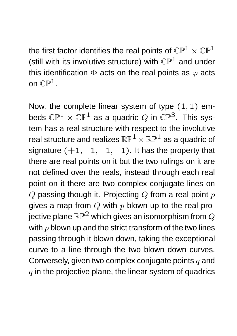the first factor identifies the real points of  $\mathbb{CP}^1 \times \mathbb{CP}^1$ (still with its involutive structure) with  $\mathbb{CP}^1$  and under this identification  $\Phi$  acts on the real points as  $\varphi$  acts on  $\mathbb{CP}^1$ .

Now, the complete linear system of type  $(1, 1)$  embeds  $\mathbb{CP}^1 \times \mathbb{CP}^1$  as a quadric Q in  $\mathbb{CP}^3$ . This system has a real structure with respect to the involutive real structure and realizes  $\mathbb{RP}^1 \times \mathbb{RP}^1$  as a quadric of signature  $(+1, -1, -1, -1)$ . It has the property that there are real points on it but the two rulings on it are not defined over the reals, instead through each real point on it there are two complex conjugate lines on  $Q$  passing though it. Projecting  $Q$  from a real point  $p$ gives a map from  $Q$  with  $p$  blown up to the real projective plane  $\mathbb{RP}^2$  which gives an isomorphism from  $Q$ with  $p$  blown up and the strict transform of the two lines passing through it blown down, taking the exceptional curve to a line through the two blown down curves. Conversely, given two complex conjugate points  $q$  and  $\overline{q}$  in the projective plane, the linear system of quadrics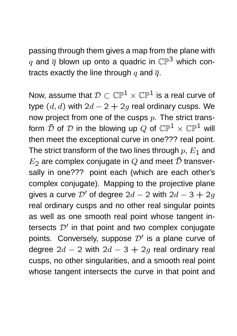passing through them gives a map from the plane with q and  $\overline{q}$  blown up onto a quadric in  $\mathbb{CP}^3$  which contracts exactly the line through  $q$  and  $\overline{q}$ .

Now, assume that  $\mathcal{D} \subset \mathbb{CP}^1 \times \mathbb{CP}^1$  is a real curve of type  $(d, d)$  with  $2d - 2 + 2g$  real ordinary cusps. We now project from one of the cusps  $p$ . The strict transform  $\overline{D}$  of  $D$  in the blowing up Q of  $\mathbb{CP}^1 \times \mathbb{CP}^1$  will then meet the exceptional curve in one??? real point. The strict transform of the two lines through  $p, E_1$  and  $E_2$  are complex conjugate in Q and meet  $\bar{\mathcal{D}}$  transversally in one??? point each (which are each other's complex conjugate). Mapping to the projective plane gives a curve  $\mathcal{D}'$  of degree  $2d - 2$  with  $2d - 3 + 2q$ real ordinary cusps and no other real singular points as well as one smooth real point whose tangent intersects  $\mathcal{D}'$  in that point and two complex conjugate points. Conversely, suppose  $\mathcal{D}'$  is a plane curve of degree  $2d - 2$  with  $2d - 3 + 2g$  real ordinary real cusps, no other singularities, and a smooth real point whose tangent intersects the curve in that point and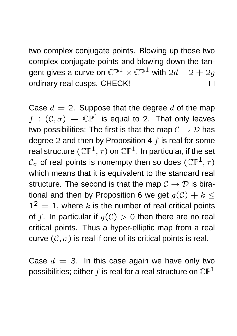two complex conjugate points. Blowing up those two complex conjugate points and blowing down the tangent gives a curve on  $\mathbb{CP}^1 \times \mathbb{CP}^1$  with  $2d - 2 + 2g$ ordinary real cusps. CHECK!  $\Box$ 

Case  $d = 2$ . Suppose that the degree d of the map  $f : (\mathcal{C}, \sigma) \to \mathbb{CP}^1$  is equal to 2. That only leaves two possibilities: The first is that the map  $\mathcal{C} \to \mathcal{D}$  has degree 2 and then by Proposition 4  $f$  is real for some real structure  $(\mathbb{CP}^1, \tau)$  on  $\mathbb{CP}^1$ . In particular, if the set  $\mathcal{C}_{\sigma}$  of real points is nonempty then so does  $(\mathbb{CP}^1, \tau)$ which means that it is equivalent to the standard real structure. The second is that the map  $\mathcal{C} \to \mathcal{D}$  is birational and then by Proposition 6 we get  $g(\mathcal{C}) + k <$  $1^2 = 1$ , where k is the number of real critical points of f. In particular if  $q(\mathcal{C}) > 0$  then there are no real critical points. Thus a hyper-elliptic map from a real curve  $(C, \sigma)$  is real if one of its critical points is real.

Case  $d = 3$ . In this case again we have only two possibilities; either  $f$  is real for a real structure on  $\mathbb{CP}^1$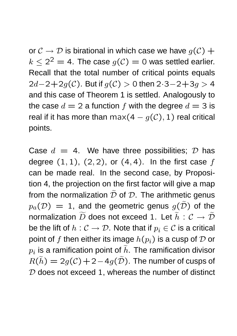or  $\mathcal{C} \to \mathcal{D}$  is birational in which case we have  $g(\mathcal{C}) +$  $k \leq 2^2 = 4$ . The case  $g(\mathcal{C}) = 0$  was settled earlier. Recall that the total number of critical points equals  $2d-2+2g(C)$ . But if  $g(C) > 0$  then  $2 \cdot 3 - 2 + 3g > 4$ and this case of Theorem 1 is settled. Analogously to the case  $d = 2$  a function f with the degree  $d = 3$  is real if it has more than max(4 –  $g(C)$ , 1) real critical points.

Case  $d = 4$ . We have three possibilities;  $\mathcal{D}$  has degree  $(1, 1)$ ,  $(2, 2)$ , or  $(4, 4)$ . In the first case  $f$ can be made real. In the second case, by Proposition 4, the projection on the first factor will give a map from the normalization  $\tilde{\mathcal{D}}$  of  $\mathcal{D}$ . The arithmetic genus  $p_a(\mathcal{D}) = 1$ , and the geometric genus  $q(\tilde{\mathcal{D}})$  of the normalization  $\widetilde{D}$  does not exceed 1. Let  $\widetilde{h} : \mathcal{C} \to \widetilde{\mathcal{D}}$ be the lift of  $h: \mathcal{C} \to \mathcal{D}$ . Note that if  $p_i \in \mathcal{C}$  is a critical point of f then either its image  $h(p_i)$  is a cusp of  $D$  or  $\overline{p}_i$  is a ramification point of  $h.$  The ramification divisor  $R(h) = 2g(\mathcal{C}) + 2-4g(\mathcal{D})$ . The number of cusps of  $D$  does not exceed 1, whereas the number of distinct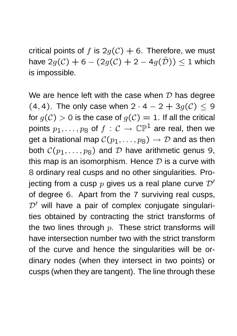critical points of f is  $2g(\mathcal{C}) + 6$ . Therefore, we must have  $2g(\mathcal{C}) + 6 - (2g(\mathcal{C}) + 2 - 4g(\tilde{\mathcal{D}})) \leq 1$  which is impossible.

We are hence left with the case when  $D$  has degree (4, 4). The only case when  $2 \cdot 4 - 2 + 3g(\mathcal{C}) \leq 9$ for  $g(C) > 0$  is the case of  $g(C) = 1$ . If all the critical points  $p_1, \ldots, p_8$  of  $f : C \to \mathbb{CP}^1$  are real, then we get a birational map  $C(p_1, \ldots, p_8) \rightarrow \mathcal{D}$  and as then both  $C(p_1, \ldots, p_8)$  and  $D$  have arithmetic genus 9, this map is an isomorphism. Hence  $\mathcal D$  is a curve with 8 ordinary real cusps and no other singularities. Projecting from a cusp  $p$  gives us a real plane curve  $\mathcal{D}'$ of degree 6. Apart from the 7 surviving real cusps,  $D'$  will have a pair of complex conjugate singularities obtained by contracting the strict transforms of the two lines through  $p$ . These strict transforms will have intersection number two with the strict transform of the curve and hence the singularities will be ordinary nodes (when they intersect in two points) or cusps (when they are tangent). The line through these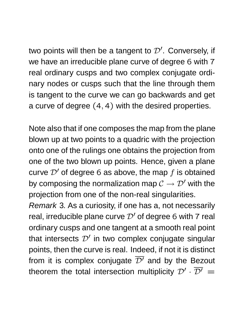two points will then be a tangent to  $\mathcal{D}'$ . Conversely, if we have an irreducible plane curve of degree 6 with 7 real ordinary cusps and two complex conjugate ordinary nodes or cusps such that the line through them is tangent to the curve we can go backwards and get a curve of degree (4, 4) with the desired properties.

Note also that if one composes the map from the plane blown up at two points to a quadric with the projection onto one of the rulings one obtains the projection from one of the two blown up points. Hence, given a plane curve  $\mathcal{D}'$  of degree 6 as above, the map f is obtained by composing the normalization map  $\mathcal{C} \to \mathcal{D}'$  with the projection from one of the non-real singularities.

Remark 3. As a curiosity, if one has a, not necessarily real, irreducible plane curve  $\mathcal{D}'$  of degree 6 with 7 real ordinary cusps and one tangent at a smooth real point that intersects  $\mathcal{D}'$  in two complex conjugate singular points, then the curve is real. Indeed, if not it is distinct from it is complex conjugate  $\overline{\mathcal{D}}'$  and by the Bezout theorem the total intersection multiplicity  $\mathcal{D}'\cdot \overline{\mathcal{D}'} =$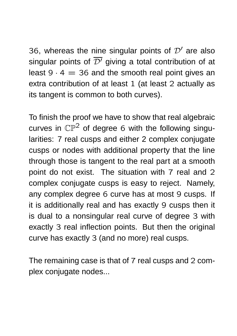36, whereas the nine singular points of  $\mathcal{D}'$  are also singular points of  $\overline{\mathcal{D}}'$  giving a total contribution of at least  $9 \cdot 4 = 36$  and the smooth real point gives an extra contribution of at least 1 (at least 2 actually as its tangent is common to both curves).

To finish the proof we have to show that real algebraic curves in  $\mathbb{CP}^2$  of degree 6 with the following singularities: 7 real cusps and either 2 complex conjugate cusps or nodes with additional property that the line through those is tangent to the real part at a smooth point do not exist. The situation with 7 real and 2 complex conjugate cusps is easy to reject. Namely, any complex degree 6 curve has at most 9 cusps. If it is additionally real and has exactly 9 cusps then it is dual to a nonsingular real curve of degree 3 with exactly 3 real inflection points. But then the original curve has exactly 3 (and no more) real cusps.

The remaining case is that of 7 real cusps and 2 complex conjugate nodes...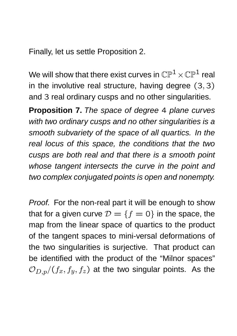Finally, let us settle Proposition 2.

We will show that there exist curves in  $\mathbb{CP}^1\times\mathbb{CP}^1$  real in the involutive real structure, having degree (3, 3) and 3 real ordinary cusps and no other singularities.

**Proposition 7.** The space of degree 4 plane curves with two ordinary cusps and no other singularities is a smooth subvariety of the space of all quartics. In the real locus of this space, the conditions that the two cusps are both real and that there is a smooth point whose tangent intersects the curve in the point and two complex conjugated points is open and nonempty.

Proof. For the non-real part it will be enough to show that for a given curve  $\mathcal{D} = \{f = 0\}$  in the space, the map from the linear space of quartics to the product of the tangent spaces to mini-versal deformations of the two singularities is surjective. That product can be identified with the product of the "Milnor spaces"  $\mathcal{O}_{D,p}/(f_x, f_y, f_z)$  at the two singular points. As the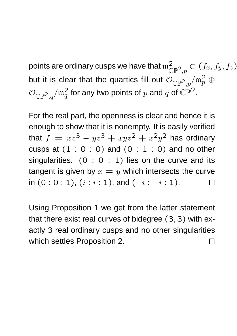points are ordinary cusps we have that  $\mathfrak{m}_{\mathbb{C}}^2$  $\mathbb{CP}^2,p$  $\subset (f_x, f_y, f_z)$ but it is clear that the quartics fill out  $\mathcal{O}_{\mathbb{CP}^2,p}/\mathfrak{m}_p^2\oplus$  $\mathcal{O}_{\mathbb{CP}^2,q}/\mathfrak{m}_q^2$  for any two points of  $p$  and  $q$  of  $\mathbb{CP}^2.$ 

For the real part, the openness is clear and hence it is enough to show that it is nonempty. It is easily verified that  $f = xz^3 - yz^3 + xyz^2 + x^2y^2$  has ordinary cusps at  $(1 : 0 : 0)$  and  $(0 : 1 : 0)$  and no other singularities.  $(0 : 0 : 1)$  lies on the curve and its tangent is given by  $x = y$  which intersects the curve in  $(0:0:1)$ ,  $(i:i:1)$ , and  $(-i:-i:1)$ .  $\Box$ 

Using Proposition 1 we get from the latter statement that there exist real curves of bidegree (3, 3) with exactly 3 real ordinary cusps and no other singularities which settles Proposition 2. $\Box$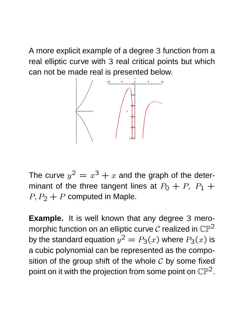A more explicit example of a degree 3 function from a real elliptic curve with 3 real critical points but which can not be made real is presented below.



The curve  $y^2 = x^3 + x$  and the graph of the determinant of the three tangent lines at  $P_0 + P$ ,  $P_1 + P_2$  $P, P_2 + P$  computed in Maple.

**Example.** It is well known that any degree 3 meromorphic function on an elliptic curve  $\mathcal C$  realized in  $\mathbb{CP}^2$ by the standard equation  $y^2=P_3(x)$  where  $P_3(x)$  is a cubic polynomial can be represented as the composition of the group shift of the whole  $C$  by some fixed point on it with the projection from some point on  $\mathbb{CP}^2.$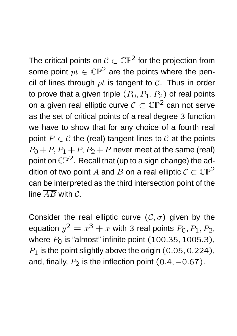The critical points on  $C \subset \mathbb{CP}^2$  for the projection from some point  $pt \in \mathbb{CP}^2$  are the points where the pencil of lines through  $pt$  is tangent to  $C$ . Thus in order to prove that a given triple  $(P_0, P_1, P_2)$  of real points on a given real elliptic curve  $C \subset \mathbb{CP}^2$  can not serve as the set of critical points of a real degree 3 function we have to show that for any choice of a fourth real point  $P \in \mathcal{C}$  the (real) tangent lines to  $\mathcal{C}$  at the points  $P_0+P$ ,  $P_1+P$ ,  $P_2+P$  never meet at the same (real) point on  $\mathbb{CP}^2$ . Recall that (up to a sign change) the addition of two point A and B on a real elliptic  $C \subset \mathbb{CP}^2$ can be interpreted as the third intersection point of the line  $\overline{AB}$  with C.

Consider the real elliptic curve  $(C, \sigma)$  given by the equation  $y^2 = x^3 + x$  with 3 real points  $P_0, P_1, P_2$ , where  $P_0$  is "almost" infinite point  $(100.35, 1005.3)$ ,  $P_1$  is the point slightly above the origin  $(0.05, 0.224)$ , and, finally,  $P_2$  is the inflection point  $(0.4, -0.67)$ .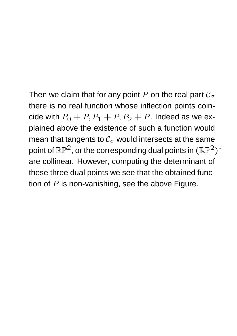Then we claim that for any point P on the real part  $\mathcal{C}_{\sigma}$ there is no real function whose inflection points coincide with  $P_0 + P$ ,  $P_1 + P$ ,  $P_2 + P$ . Indeed as we explained above the existence of such a function would mean that tangents to  $\mathcal{C}_{\sigma}$  would intersects at the same point of  $\mathbb{RP}^2$ , or the corresponding dual points in  $(\mathbb{RP}^2)^*$ are collinear. However, computing the determinant of these three dual points we see that the obtained function of  $P$  is non-vanishing, see the above Figure.